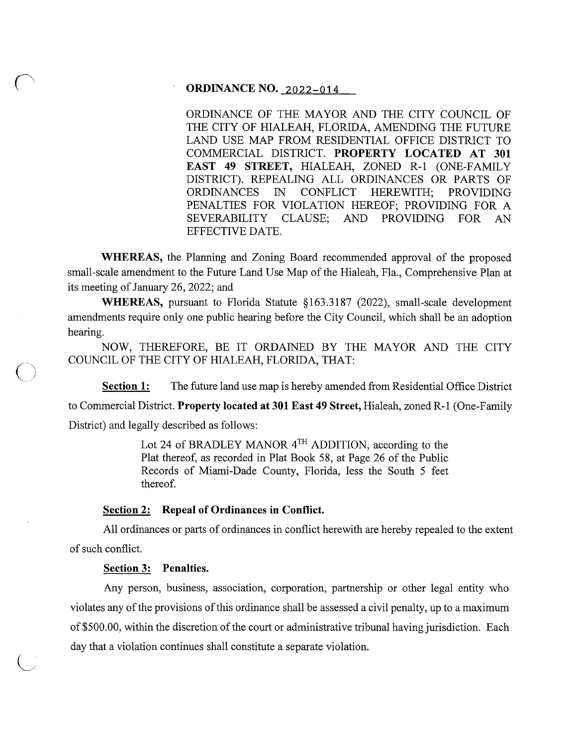# **ORDINANCE NO.** 2022-014

ORDINANCE OF THE MAYOR AND THE CITY COUNCIL OF THE CITY OF HIALEAH, FLORIDA, AMENDING THE FUTURE LAND USE MAP FROM RESIDENTIAL OFFICE DISTRICT TO COMMERCIAL DISTRICT. **PROPERTY LOCATED AT 301 EAST 49 STREET,** HIALEAH, ZONED R-1 (ONE-FAMILY DISTRICT). REPEALING ALL ORDINANCES OR PARTS OF ORDINANCES IN CONFLICT HEREWITH; PROVIDING PENALTIES FOR VIOLATION HEREOF; PROVIDING FOR A SEVERABILITY CLAUSE; AND PROVIDING FOR AN EFFECTIVE DATE.

**WHEREAS,** the Planning and Zoning Board recommended approval of the proposed small-scale amendment to the Future Land Use Map of the Hialeah, Fla., Comprehensive Plan at its meeting of January 26, 2022; and

**WHEREAS,** pursuant to Florida Statute §163.3187 (2022), small-scale development amendments require only one public hearing before the City Council, which shall be an adoption hearing.

NOW, THEREFORE, BE IT ORDAINED BY THE MAYOR AND THE CITY COUNCIL OF THE CITY OF HIALEAH, FLORIDA, THAT:

**Section 1:** The future land use map is hereby amended from Residential Office District to Commercial District. **Property located at 301East49 Street,** Hialeah, zoned R-1 (One-Family District) and legally described as follows:

> Lot 24 of BRADLEY MANOR  $4^{TH}$  ADDITION, according to the Plat thereof, as recorded in Plat Book 58, at Page 26 of the Public Records of Miami-Dade County, Florida, less the South 5 feet thereof.

#### **Section 2: Repeal of Ordinances in Conflict.**

All ordinances or parts of ordinances in conflict herewith are hereby repealed to the extent of such conflict.

## **Section 3: Penalties.**

Any person, business, association, corporation, partnership or other legal entity who violates any of the provisions of this ordinance shall be assessed a civil penalty, up to a maximum of \$500.00, within the discretion of the court or administrative tribunal having jurisdiction. Each day that a violation continues shall constitute a separate violation.